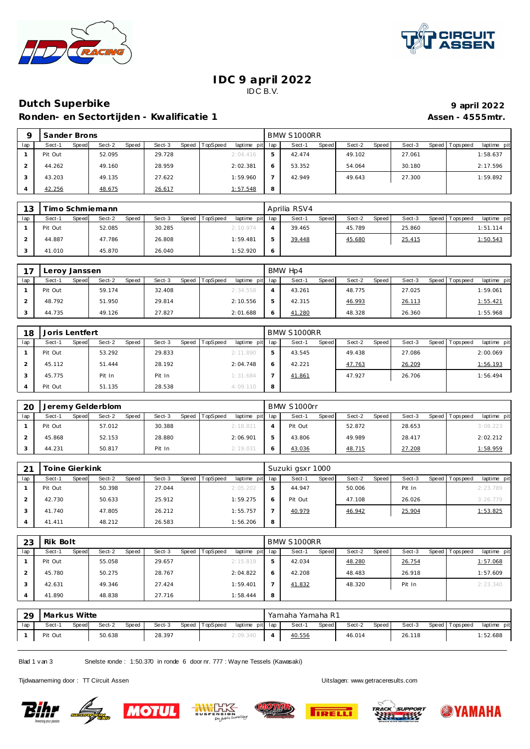



### **IDC 9 april 2022** IDC B.V.

# **Dutch Superbike 9 april 2022**

Ronden- en Sectortijden - Kwalificatie 1 **Assen - 4555mtr.** Assen - 4555mtr.

|     | Sander Brons    |                 |        |                                   |   | BMW S1000RR            |                 |        |                                |
|-----|-----------------|-----------------|--------|-----------------------------------|---|------------------------|-----------------|--------|--------------------------------|
| lap | Sect-1<br>Speed | Sect-2<br>Speed | Sect-3 | Speed TopSpeed<br>laptime pit lap |   | <b>Speed</b><br>Sect-1 | Sect-2<br>Speed | Sect-3 | Speed Tops peed<br>laptime pit |
|     | Pit Out         | 52.095          | 29.728 | 2:04.416                          | ь | 42.474                 | 49.102          | 27.061 | 1:58.637                       |
|     | 44.262          | 49.160          | 28.959 | 2:02.381                          |   | 53.352                 | 54.064          | 30.180 | 2:17.596                       |
|     | 43.203          | 49.135          | 27.622 | 1:59.960                          |   | 42.949                 | 49.643          | 27.300 | 1:59.892                       |
|     | 42.256          | 48.675          | 26.617 | 1:57.548                          | 8 |                        |                 |        |                                |

| 1つ  | ⊺imo Schmiemann |                 |        |                                   |   | Aprilia RSV4    |                 |        |                                |
|-----|-----------------|-----------------|--------|-----------------------------------|---|-----------------|-----------------|--------|--------------------------------|
| lap | Sect-1<br>Speed | Sect-2<br>Speed | Sect-3 | Speed TopSpeed<br>laptime pit lap |   | Sect-1<br>Speed | Sect-2<br>Speed | Sect-3 | Speed Tops peed<br>laptime pit |
|     | Pit Out         | 52.085          | 30.285 | 2:10.974                          | 4 | 39.465          | 45.789          | 25.860 | 1:51.114                       |
|     | 44.887          | 47.786          | 26.808 | 1:59.481                          | ٠ | 39.448          | 45.680          | 25.415 | 1:50.543                       |
|     | 41.010          | 45.870          | 26.040 | 1:52.920                          | Ô |                 |                 |        |                                |

|     | Leroy Janssen |       |        |       |        |                |                 |   | BMW H <sub>D4</sub> |       |        |       |        |                 |             |
|-----|---------------|-------|--------|-------|--------|----------------|-----------------|---|---------------------|-------|--------|-------|--------|-----------------|-------------|
| lap | Sect-1        | Speed | Sect-2 | Speed | Sect-3 | Speed TopSpeed | laptime pit lap |   | Sect-1              | Speed | Sect-2 | Speed | Sect-3 | Speed Tops peed | laptime pit |
|     | Pit Out       |       | 59.174 |       | 32.408 |                | 2:34.558        |   | 43.261              |       | 48.775 |       | 27.025 |                 | 1:59.061    |
|     | 48.792        |       | 51.950 |       | 29.814 |                | 2:10.556        | 5 | 42.315              |       | 46.993 |       | 26.113 |                 | 1:55.421    |
|     | 44.735        |       | 49.126 |       | 27.827 |                | 2:01.688        |   | 41.280              |       | 48.328 |       | 26.360 |                 | 1:55.968    |

| 18  | Joris Lentfert |       |        |       |        |                |                 |   | BMW S1000RR |       |        |       |        |       |           |             |
|-----|----------------|-------|--------|-------|--------|----------------|-----------------|---|-------------|-------|--------|-------|--------|-------|-----------|-------------|
| lap | Sect-1         | Speed | Sect-2 | Speed | Sect-3 | Speed TopSpeed | laptime pit lap |   | Sect-1      | Speed | Sect-2 | Speed | Sect-3 | Speed | Tops peed | laptime pit |
|     | Pit Out        |       | 53.292 |       | 29.833 |                | 2:11.890        | 5 | 43.545      |       | 49.438 |       | 27.086 |       |           | 2:00.069    |
|     | 45.112         |       | 51.444 |       | 28.192 |                | 2:04.748        | 6 | 42.221      |       | 47.763 |       | 26.209 |       |           | 1:56.193    |
|     | 45.775         |       | Pit In |       | Pit In |                | 1:31.684        |   | 41.861      |       | 47.927 |       | 26.706 |       |           | 1:56.494    |
|     | Pit Out        |       | 51.135 |       | 28.538 |                | 4:09.110        | 8 |             |       |        |       |        |       |           |             |

| 20  |         |       | Jeremy Gelderblom |       |        |       |                 |             |     | BMW S1000rr |       |        |       |        |                 |             |
|-----|---------|-------|-------------------|-------|--------|-------|-----------------|-------------|-----|-------------|-------|--------|-------|--------|-----------------|-------------|
| lap | Sect-1  | Speed | Sect-2            | Speed | Sect-3 | Speed | <b>TopSpeed</b> | laptime pit | lap | Sect-1      | Speed | Sect-2 | Speed | Sect-3 | Speed Tops peed | laptime pit |
|     | Pit Out |       | 57.012            |       | 30.388 |       |                 | 2:18.811    |     | Pit Out     |       | 52.872 |       | 28.653 |                 | 3:08.223    |
|     | 45.868  |       | 52.153            |       | 28.880 |       |                 | 2:06.901    |     | 43.806      |       | 49.989 |       | 28.417 |                 | 2:02.212    |
|     | 44.231  |       | 50.817            |       | Pit In |       |                 | 2:19.031    |     | 43.036      |       | 48.715 |       | 27.208 |                 | 1:58.959    |

| 21  | oine Gierkink |       |        |       |        |       |          |             |     | Suzuki gsxr 1000 |              |        |       |        |                   |             |
|-----|---------------|-------|--------|-------|--------|-------|----------|-------------|-----|------------------|--------------|--------|-------|--------|-------------------|-------------|
| lap | Sect-1        | Speed | Sect-2 | Speed | Sect-3 | Speed | TopSpeed | laptime pit | lap | Sect-1           | <b>Speed</b> | Sect-2 | Speed | Sect-3 | Speed   Tops peed | laptime pit |
|     | Pit Out       |       | 50.398 |       | 27.044 |       |          | 2:05.202    | 5   | 44.947           |              | 50.006 |       | Pit In |                   | 2:23.789    |
|     | 42.730        |       | 50.633 |       | 25.912 |       |          | 1:59.275    | 6   | Pit Out          |              | 47.108 |       | 26.026 |                   | 3:26.779    |
|     | 41.740        |       | 47.805 |       | 26.212 |       |          | 1:55.757    |     | 40.979           |              | 46.942 |       | 25.904 |                   | 1:53.825    |
|     | 41.411        |       | 48.212 |       | 26.583 |       |          | 1:56.206    | 8   |                  |              |        |       |        |                   |             |

| 23  | Rik Bolt        |                 |                   |                         |     | BMW S1000RR     |                   |        |                               |
|-----|-----------------|-----------------|-------------------|-------------------------|-----|-----------------|-------------------|--------|-------------------------------|
| lap | Sect-1<br>Speed | Sect-2<br>Speed | Sect-3<br>Speed I | TopSpeed<br>laptime pit | lap | Speed<br>Sect-1 | Speed  <br>Sect-2 | Sect-3 | Speed Topspeed<br>laptime pit |
|     | Pit Out         | 55.058          | 29.657            | 2:15.819                | 5   | 42.034          | 48.280            | 26.754 | 1:57.068                      |
|     | 45.780          | 50.275          | 28.767            | 2:04.822                |     | 42.208          | 48.483            | 26.918 | 1:57.609                      |
|     | 42.631          | 49.346          | 27.424            | 1:59.401                |     | 41.832          | 48.320            | Pit In | 2:23.340                      |
|     | 41.890          | 48.838          | 27.716            | 1:58.444                | 8   |                 |                   |        |                               |

| 29  | Markus Witte |       |        |       |        |                |                 | Yamaha Yamaha R1 |       |        |       |        |                   |             |
|-----|--------------|-------|--------|-------|--------|----------------|-----------------|------------------|-------|--------|-------|--------|-------------------|-------------|
| lap | Sect-1       | Speed | Sect-2 | Speed | Sect-3 | Speed TopSpeed | laptime pit lap | Sect-            | Speed | Sect-2 | Speed | Sect-3 | Speed   Tops peed | laptime pit |
|     | Pit Out      |       | 50.638 |       | 28.397 |                | 2:09.340        | 40.556           |       | 46.014 |       | 26.118 |                   | 1:52.688    |

Blad 1 v an 3 Snelste ronde : 1:50.370 in ronde 6 door nr. 777 : Way ne Tessels (Kawasaki)

Tijdwaarneming door : TT Circuit Assen Uitslagen:<www.getraceresults.com>









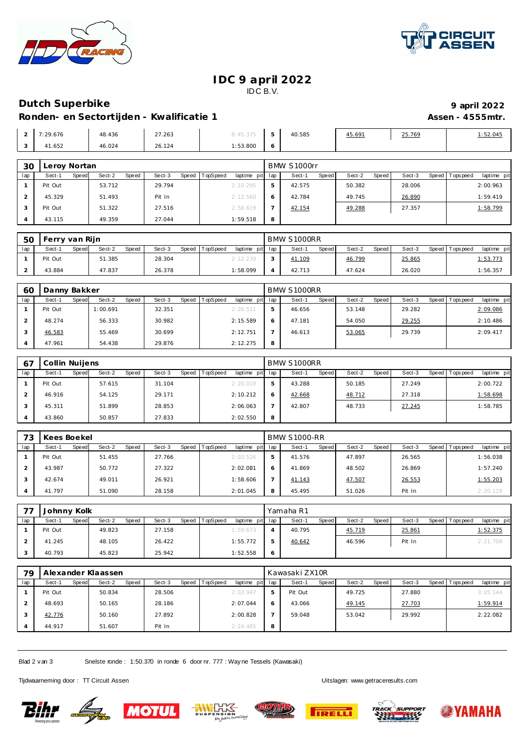



### **IDC 9 april 2022** IDC B.V.

# **Dutch Superbike 9 april 2022**

### Ronden- en Sectortijden - Kwalificatie 1 **Assen - 4555mtr.** Assen - 4555mtr.

| ∸ | .676  | 48.436<br>. | 27.263                                        | 8:45.375 | $\overline{\phantom{a}}$<br>. . | 40.585<br>. | 45.691 | 25.769 | .52.04F |
|---|-------|-------------|-----------------------------------------------|----------|---------------------------------|-------------|--------|--------|---------|
|   | 1.652 | 46.024<br>. | 26.124<br>the contract of the contract of the | : 53.800 | $\circ$                         |             |        |        |         |

| 30  | Leroy Nortan |       |        |       |        |       |          |                 |   | BMW S1000rr |       |        |       |        |                 |             |
|-----|--------------|-------|--------|-------|--------|-------|----------|-----------------|---|-------------|-------|--------|-------|--------|-----------------|-------------|
| lap | Sect-1       | Speed | Sect-2 | Speed | Sect-3 | Speed | TopSpeed | laptime pit lap |   | Sect-1      | Speed | Sect-2 | Speed | Sect-3 | Speed Tops peed | laptime pit |
|     | Pit Out      |       | 53.712 |       | 29.794 |       |          | 2:10.295        |   | 42.575      |       | 50.382 |       | 28.006 |                 | 2:00.963    |
|     | 45.329       |       | 51.493 |       | Pit In |       |          | 2:12.560        | 6 | 42.784      |       | 49.745 |       | 26.890 |                 | 1:59.419    |
|     | Pit Out      |       | 51.322 |       | 27.516 |       |          | 2:58.619        |   | 42.154      |       | 49.288 |       | 27.357 |                 | 1:58.799    |
|     | 43.115       |       | 49.359 |       | 27.044 |       |          | 1:59.518        | 8 |             |       |        |       |        |                 |             |

| 50  | Ferry van Rijn |       |        |       |        |       |          |                 | BMW S1000RR |       |        |       |        |                 |                 |
|-----|----------------|-------|--------|-------|--------|-------|----------|-----------------|-------------|-------|--------|-------|--------|-----------------|-----------------|
| lap | Sect-1         | Speed | Sect-2 | Speed | Sect-3 | Speed | TopSpeed | laptime pit lap | Sect-       | Speed | Sect-2 | Speed | Sect-3 | Speed Tops peed | laptime pit     |
|     | Pit Out        |       | 51.385 |       | 28.304 |       |          | 2:12.230        | 41.109      |       | 46.799 |       | 25.865 |                 | <u>l:53.773</u> |
|     | 43.884         |       | 47.837 |       | 26.378 |       |          | 1:58.099        | 42.713      |       | 47.624 |       | 26.020 |                 | 1:56.357        |

| 60  | Danny Bakker |       |          |       |        |       |          |             |     | BMW S1000RR |              |        |       |        |                |             |
|-----|--------------|-------|----------|-------|--------|-------|----------|-------------|-----|-------------|--------------|--------|-------|--------|----------------|-------------|
| lap | Sect-1       | Speed | Sect-2   | Speed | Sect-3 | Speed | TopSpeed | laptime pit | lap | Sect-1      | <b>Speed</b> | Sect-2 | Speed | Sect-3 | Speed Topspeed | laptime pit |
|     | Pit Out      |       | 1:00.691 |       | 32.351 |       |          | 2:26.511    | ь   | 46.656      |              | 53.148 |       | 29.282 |                | 2:09.086    |
|     | 48.274       |       | 56.333   |       | 30.982 |       |          | 2:15.589    | 6   | 47.181      |              | 54.050 |       | 29.255 |                | 2:10.486    |
|     | 46.583       |       | 55.469   |       | 30.699 |       |          | 2:12.751    |     | 46.613      |              | 53.065 |       | 29.739 |                | 2:09.417    |
|     | 47.961       |       | 54.438   |       | 29.876 |       |          | 2:12.275    | 8   |             |              |        |       |        |                |             |

| 67  | Collin Nuijens |       |        |       |        |       |          |             |     | BMW S1000RR |              |        |       |        |       |             |             |
|-----|----------------|-------|--------|-------|--------|-------|----------|-------------|-----|-------------|--------------|--------|-------|--------|-------|-------------|-------------|
| lap | Sect-1         | Speed | Sect-2 | Speed | Sect-3 | Speed | TopSpeed | laptime pit | lap | Sect-1      | <b>Speed</b> | Sect-2 | Speed | Sect-3 | Speed | I Tops peed | laptime pit |
|     | Pit Out        |       | 57.615 |       | 31.104 |       |          | 2:20.019    | ь   | 43.288      |              | 50.185 |       | 27.249 |       |             | 2:00.722    |
|     | 46.916         |       | 54.125 |       | 29.171 |       |          | 2:10.212    | 6   | 42.668      |              | 48.712 |       | 27.318 |       |             | 1:58.698    |
|     | 45.311         |       | 51.899 |       | 28.853 |       |          | 2:06.063    |     | 42.807      |              | 48.733 |       | 27.245 |       |             | 1:58.785    |
|     | 43.860         |       | 50.857 |       | 27.833 |       |          | 2:02.550    | 8   |             |              |        |       |        |       |             |             |

| 73  | Kees Boekel     |                 |                 |                         |     | <b>BMW S1000-RR</b>    |                 |                   |                          |
|-----|-----------------|-----------------|-----------------|-------------------------|-----|------------------------|-----------------|-------------------|--------------------------|
| lap | Sect-1<br>Speed | Sect-2<br>Speed | Sect-3<br>Speed | TopSpeed<br>laptime pit | lap | <b>Speed</b><br>Sect-1 | Sect-2<br>Speed | Sect-3<br>Speed I | Tops peed<br>laptime pit |
|     | Pit Out         | 51.455          | 27.766          | 2:03.526                |     | 41.576                 | 47.897          | 26.565            | 1:56.038                 |
|     | 43.987          | 50.772          | 27.322          | 2:02.081                |     | 41.869                 | 48.502          | 26.869            | 1:57.240                 |
|     | 42.674          | 49.011          | 26.921          | 1:58.606                |     | 41.143                 | 47.507          | 26.553            | 1:55.203                 |
|     | 41.797          | 51.090          | 28.158          | 2:01.045                |     | 45.495                 | 51.026          | Pit In            | 2:20.129                 |

|     | Johnny Kolk |       |        |              |        |                |                 |    | Yamaha R1 |              |        |       |        |                 |             |
|-----|-------------|-------|--------|--------------|--------|----------------|-----------------|----|-----------|--------------|--------|-------|--------|-----------------|-------------|
| lap | Sect-1      | Speed | Sect-2 | <b>Speed</b> | Sect-3 | Speed TopSpeed | laptime pit lap |    | Sect-1    | <b>Speed</b> | Sect-2 | Speed | Sect-3 | Speed Tops peed | laptime pit |
|     | Pit Out     |       | 49.823 |              | 27.158 |                | 1:59.673        |    | 40.795    |              | 45.719 |       | 25.861 |                 | 1:52.375    |
|     | 41.245      |       | 48.105 |              | 26.422 |                | 1:55.772        | ь  | 40.642    |              | 46.596 |       | Pit In |                 | 2:21.708    |
|     | 40.793      |       | 45.823 |              | 25.942 |                | 1:52.558        | -6 |           |              |        |       |        |                 |             |

| 79  |         |       | Alexander Klaassen |       |        |       |                 |             |     | Kawasaki ZX10R |       |        |       |        |       |             |             |
|-----|---------|-------|--------------------|-------|--------|-------|-----------------|-------------|-----|----------------|-------|--------|-------|--------|-------|-------------|-------------|
| lap | Sect-1  | Speed | Sect-2             | Speed | Sect-3 | Speed | <b>TopSpeed</b> | laptime pit | lap | Sect-1         | Speed | Sect-2 | Speed | Sect-3 | Speed | I Tops peed | laptime pit |
|     | Pit Out |       | 50.834             |       | 28.506 |       |                 | 2:03.947    | 5   | Pit Out        |       | 49.725 |       | 27.880 |       |             | 3:05.144    |
|     | 48.693  |       | 50.165             |       | 28.186 |       |                 | 2:07.044    | ō   | 43.066         |       | 49.145 |       | 27.703 |       |             | 1:59.914    |
|     | 42.776  |       | 50.160             |       | 27.892 |       |                 | 2:00.828    |     | 59.048         |       | 53.042 |       | 29.992 |       |             | 2:22.082    |
|     | 44.917  |       | 51.607             |       | Pit In |       |                 | 2:24.485    | 8   |                |       |        |       |        |       |             |             |

Blad 2 v an 3 Snelste ronde : 1:50.370 in ronde 6 door nr. 777 : Way ne Tessels (Kawasaki)

Tijdwaarneming door : TT Circuit Assen Uitslagen:<www.getraceresults.com>